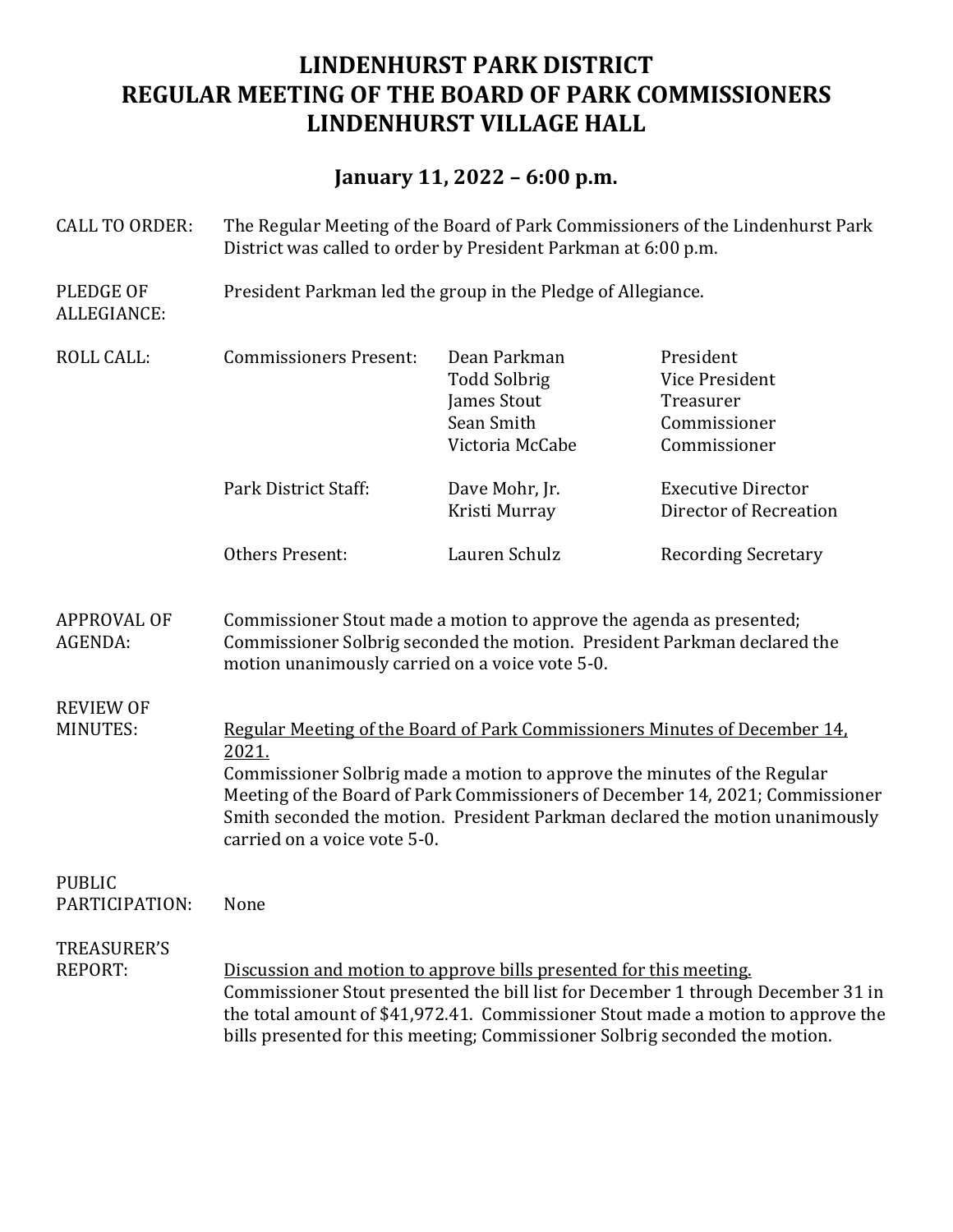## **LINDENHURST PARK DISTRICT REGULAR MEETING OF THE BOARD OF PARK COMMISSIONERS LINDENHURST VILLAGE HALL**

## **January 11, 2022 – 6:00 p.m.**

- CALL TO ORDER: The Regular Meeting of the Board of Park Commissioners of the Lindenhurst Park District was called to order by President Parkman at 6:00 p.m.
- PLEDGE OF President Parkman led the group in the Pledge of Allegiance. ALLEGIANCE:

| <b>ROLL CALL:</b>               | <b>Commissioners Present:</b>                                                                                                                                                                                                                                                                                                                                    | Dean Parkman<br><b>Todd Solbrig</b><br>James Stout<br>Sean Smith<br>Victoria McCabe | President<br>Vice President<br>Treasurer<br>Commissioner<br>Commissioner |
|---------------------------------|------------------------------------------------------------------------------------------------------------------------------------------------------------------------------------------------------------------------------------------------------------------------------------------------------------------------------------------------------------------|-------------------------------------------------------------------------------------|--------------------------------------------------------------------------|
|                                 | Park District Staff:                                                                                                                                                                                                                                                                                                                                             | Dave Mohr, Jr.<br>Kristi Murray                                                     | <b>Executive Director</b><br>Director of Recreation                      |
|                                 | Others Present:                                                                                                                                                                                                                                                                                                                                                  | Lauren Schulz                                                                       | <b>Recording Secretary</b>                                               |
| <b>APPROVAL OF</b><br>AGENDA:   | Commissioner Stout made a motion to approve the agenda as presented;<br>Commissioner Solbrig seconded the motion. President Parkman declared the<br>motion unanimously carried on a voice vote 5-0.                                                                                                                                                              |                                                                                     |                                                                          |
| <b>REVIEW OF</b><br>MINUTES:    | Regular Meeting of the Board of Park Commissioners Minutes of December 14.<br>2021.<br>Commissioner Solbrig made a motion to approve the minutes of the Regular<br>Meeting of the Board of Park Commissioners of December 14, 2021; Commissioner<br>Smith seconded the motion. President Parkman declared the motion unanimously<br>carried on a voice vote 5-0. |                                                                                     |                                                                          |
| <b>PUBLIC</b><br>PARTICIPATION: | None                                                                                                                                                                                                                                                                                                                                                             |                                                                                     |                                                                          |

## TREASURER'S REPORT: Discussion and motion to approve bills presented for this meeting. Commissioner Stout presented the bill list for December 1 through December 31 in the total amount of \$41,972.41. Commissioner Stout made a motion to approve the bills presented for this meeting; Commissioner Solbrig seconded the motion.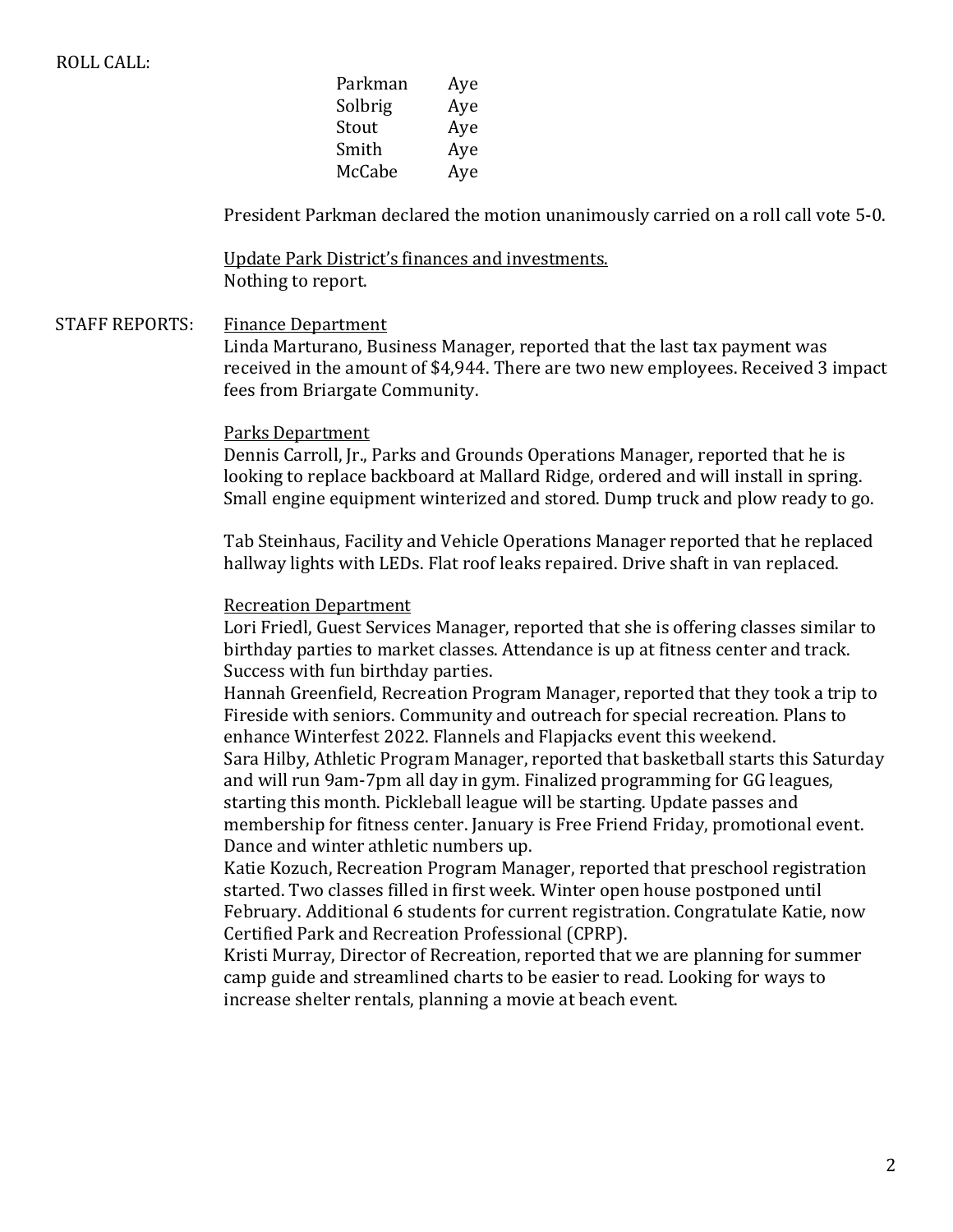| Parkman | Aye |
|---------|-----|
| Solbrig | Aye |
| Stout   | Aye |
| Smith   | Aye |
| McCabe  | Aye |
|         |     |

President Parkman declared the motion unanimously carried on a roll call vote 5-0.

Update Park District's finances and investments. Nothing to report.

STAFF REPORTS: Finance Department

Linda Marturano, Business Manager, reported that the last tax payment was received in the amount of \$4,944. There are two new employees. Received 3 impact fees from Briargate Community.

#### Parks Department

Dennis Carroll, Jr., Parks and Grounds Operations Manager, reported that he is looking to replace backboard at Mallard Ridge, ordered and will install in spring. Small engine equipment winterized and stored. Dump truck and plow ready to go.

Tab Steinhaus, Facility and Vehicle Operations Manager reported that he replaced hallway lights with LEDs. Flat roof leaks repaired. Drive shaft in van replaced.

#### Recreation Department

Lori Friedl, Guest Services Manager, reported that she is offering classes similar to birthday parties to market classes. Attendance is up at fitness center and track. Success with fun birthday parties.

Hannah Greenfield, Recreation Program Manager, reported that they took a trip to Fireside with seniors. Community and outreach for special recreation. Plans to enhance Winterfest 2022. Flannels and Flapjacks event this weekend.

Sara Hilby, Athletic Program Manager, reported that basketball starts this Saturday and will run 9am-7pm all day in gym. Finalized programming for GG leagues, starting this month. Pickleball league will be starting. Update passes and membership for fitness center. January is Free Friend Friday, promotional event. Dance and winter athletic numbers up.

Katie Kozuch, Recreation Program Manager, reported that preschool registration started. Two classes filled in first week. Winter open house postponed until February. Additional 6 students for current registration. Congratulate Katie, now Certified Park and Recreation Professional (CPRP).

Kristi Murray, Director of Recreation, reported that we are planning for summer camp guide and streamlined charts to be easier to read. Looking for ways to increase shelter rentals, planning a movie at beach event.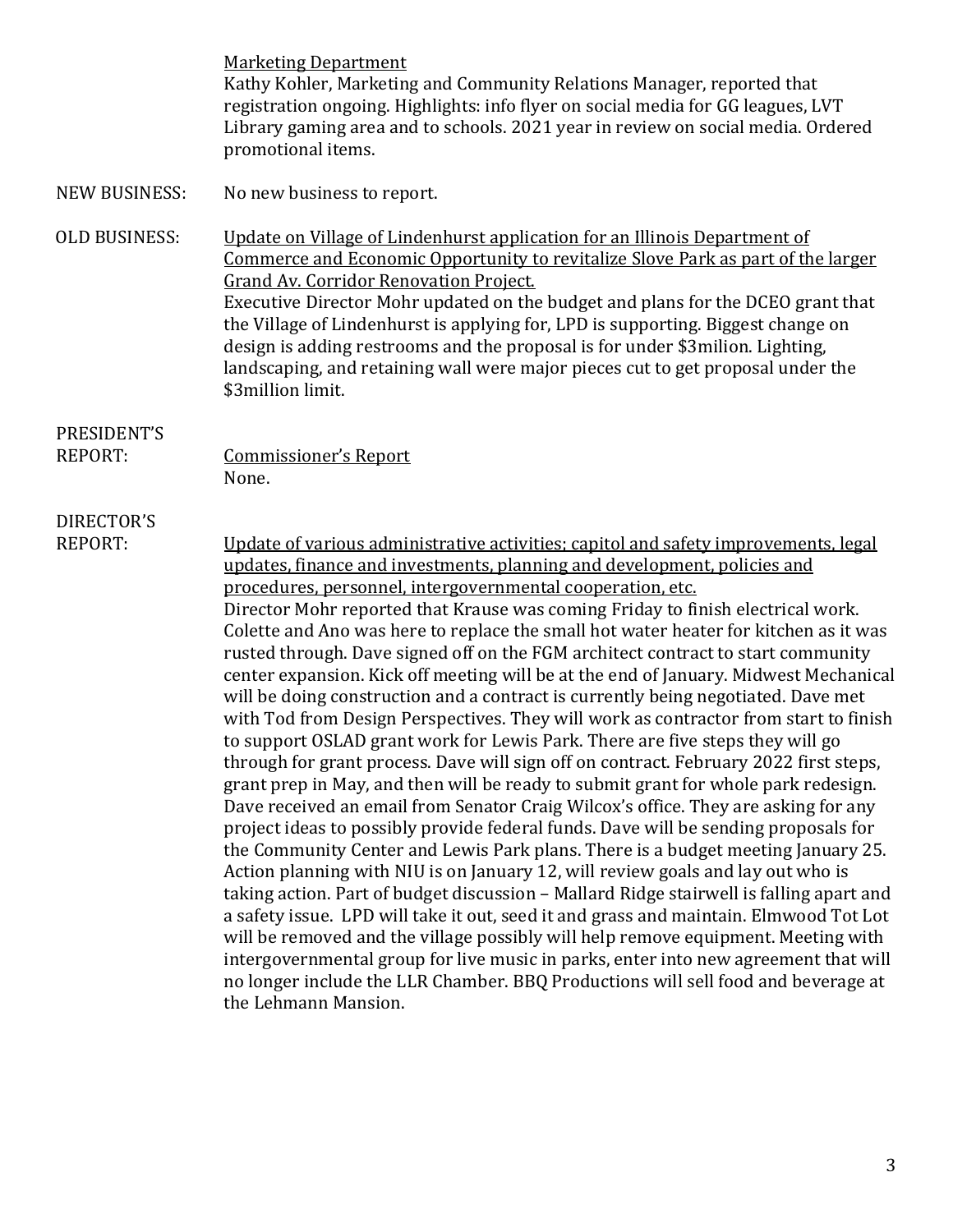**Marketing Department** Kathy Kohler, Marketing and Community Relations Manager, reported that registration ongoing. Highlights: info flyer on social media for GG leagues, LVT Library gaming area and to schools. 2021 year in review on social media. Ordered promotional items.

NEW BUSINESS: No new business to report.

OLD BUSINESS: Update on Village of Lindenhurst application for an Illinois Department of Commerce and Economic Opportunity to revitalize Slove Park as part of the larger Grand Av. Corridor Renovation Project. Executive Director Mohr updated on the budget and plans for the DCEO grant that the Village of Lindenhurst is applying for, LPD is supporting. Biggest change on design is adding restrooms and the proposal is for under \$3milion. Lighting, landscaping, and retaining wall were major pieces cut to get proposal under the \$3million limit.

### PRESIDENT'S

REPORT: Commissioner's Report None.

# DIRECTOR'S

REPORT: Update of various administrative activities; capitol and safety improvements, legal updates, finance and investments, planning and development, policies and procedures, personnel, intergovernmental cooperation, etc. Director Mohr reported that Krause was coming Friday to finish electrical work. Colette and Ano was here to replace the small hot water heater for kitchen as it was rusted through. Dave signed off on the FGM architect contract to start community center expansion. Kick off meeting will be at the end of January. Midwest Mechanical will be doing construction and a contract is currently being negotiated. Dave met with Tod from Design Perspectives. They will work as contractor from start to finish to support OSLAD grant work for Lewis Park. There are five steps they will go through for grant process. Dave will sign off on contract. February 2022 first steps, grant prep in May, and then will be ready to submit grant for whole park redesign. Dave received an email from Senator Craig Wilcox's office. They are asking for any project ideas to possibly provide federal funds. Dave will be sending proposals for the Community Center and Lewis Park plans. There is a budget meeting January 25. Action planning with NIU is on January 12, will review goals and lay out who is taking action. Part of budget discussion – Mallard Ridge stairwell is falling apart and a safety issue. LPD will take it out, seed it and grass and maintain. Elmwood Tot Lot will be removed and the village possibly will help remove equipment. Meeting with intergovernmental group for live music in parks, enter into new agreement that will no longer include the LLR Chamber. BBQ Productions will sell food and beverage at the Lehmann Mansion.